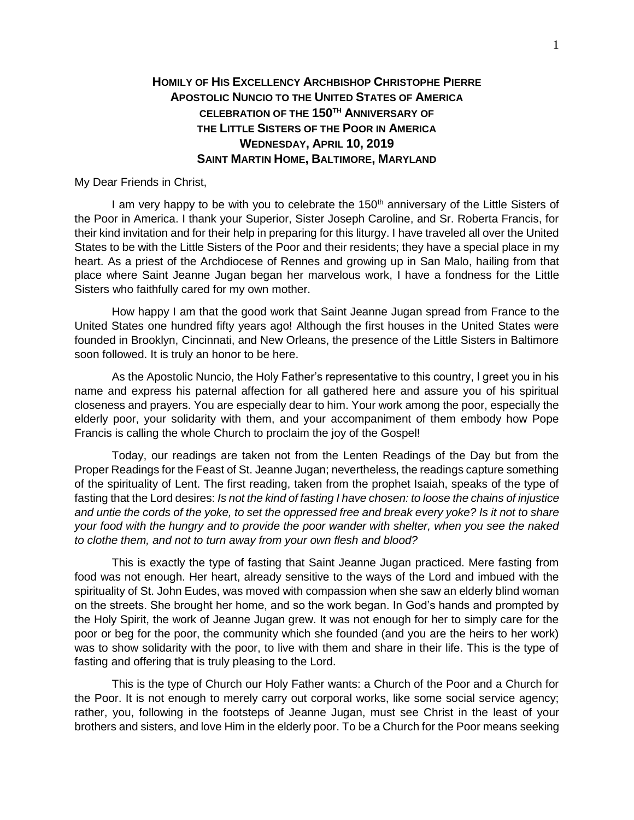## **HOMILY OF HIS EXCELLENCY ARCHBISHOP CHRISTOPHE PIERRE APOSTOLIC NUNCIO TO THE UNITED STATES OF AMERICA CELEBRATION OF THE 150TH ANNIVERSARY OF THE LITTLE SISTERS OF THE POOR IN AMERICA WEDNESDAY, APRIL 10, 2019 SAINT MARTIN HOME, BALTIMORE, MARYLAND**

My Dear Friends in Christ,

I am very happy to be with you to celebrate the 150<sup>th</sup> anniversary of the Little Sisters of the Poor in America. I thank your Superior, Sister Joseph Caroline, and Sr. Roberta Francis, for their kind invitation and for their help in preparing for this liturgy. I have traveled all over the United States to be with the Little Sisters of the Poor and their residents; they have a special place in my heart. As a priest of the Archdiocese of Rennes and growing up in San Malo, hailing from that place where Saint Jeanne Jugan began her marvelous work, I have a fondness for the Little Sisters who faithfully cared for my own mother.

How happy I am that the good work that Saint Jeanne Jugan spread from France to the United States one hundred fifty years ago! Although the first houses in the United States were founded in Brooklyn, Cincinnati, and New Orleans, the presence of the Little Sisters in Baltimore soon followed. It is truly an honor to be here.

As the Apostolic Nuncio, the Holy Father's representative to this country, I greet you in his name and express his paternal affection for all gathered here and assure you of his spiritual closeness and prayers. You are especially dear to him. Your work among the poor, especially the elderly poor, your solidarity with them, and your accompaniment of them embody how Pope Francis is calling the whole Church to proclaim the joy of the Gospel!

Today, our readings are taken not from the Lenten Readings of the Day but from the Proper Readings for the Feast of St. Jeanne Jugan; nevertheless, the readings capture something of the spirituality of Lent. The first reading, taken from the prophet Isaiah, speaks of the type of fasting that the Lord desires: *Is not the kind of fasting I have chosen: to loose the chains of injustice and untie the cords of the yoke, to set the oppressed free and break every yoke? Is it not to share your food with the hungry and to provide the poor wander with shelter, when you see the naked to clothe them, and not to turn away from your own flesh and blood?*

This is exactly the type of fasting that Saint Jeanne Jugan practiced. Mere fasting from food was not enough. Her heart, already sensitive to the ways of the Lord and imbued with the spirituality of St. John Eudes, was moved with compassion when she saw an elderly blind woman on the streets. She brought her home, and so the work began. In God's hands and prompted by the Holy Spirit, the work of Jeanne Jugan grew. It was not enough for her to simply care for the poor or beg for the poor, the community which she founded (and you are the heirs to her work) was to show solidarity with the poor, to live with them and share in their life. This is the type of fasting and offering that is truly pleasing to the Lord.

This is the type of Church our Holy Father wants: a Church of the Poor and a Church for the Poor. It is not enough to merely carry out corporal works, like some social service agency; rather, you, following in the footsteps of Jeanne Jugan, must see Christ in the least of your brothers and sisters, and love Him in the elderly poor. To be a Church for the Poor means seeking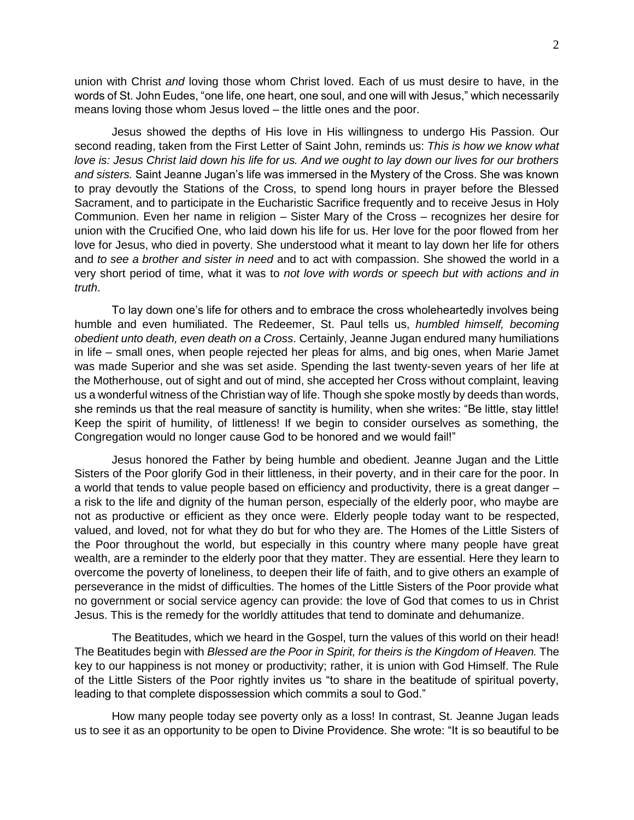union with Christ *and* loving those whom Christ loved. Each of us must desire to have, in the words of St. John Eudes, "one life, one heart, one soul, and one will with Jesus," which necessarily means loving those whom Jesus loved – the little ones and the poor.

Jesus showed the depths of His love in His willingness to undergo His Passion. Our second reading, taken from the First Letter of Saint John, reminds us: *This is how we know what love is: Jesus Christ laid down his life for us. And we ought to lay down our lives for our brothers and sisters.* Saint Jeanne Jugan's life was immersed in the Mystery of the Cross. She was known to pray devoutly the Stations of the Cross, to spend long hours in prayer before the Blessed Sacrament, and to participate in the Eucharistic Sacrifice frequently and to receive Jesus in Holy Communion. Even her name in religion – Sister Mary of the Cross – recognizes her desire for union with the Crucified One, who laid down his life for us. Her love for the poor flowed from her love for Jesus, who died in poverty. She understood what it meant to lay down her life for others and *to see a brother and sister in need* and to act with compassion. She showed the world in a very short period of time, what it was to *not love with words or speech but with actions and in truth*.

To lay down one's life for others and to embrace the cross wholeheartedly involves being humble and even humiliated. The Redeemer, St. Paul tells us, *humbled himself, becoming obedient unto death, even death on a Cross*. Certainly, Jeanne Jugan endured many humiliations in life – small ones, when people rejected her pleas for alms, and big ones, when Marie Jamet was made Superior and she was set aside. Spending the last twenty-seven years of her life at the Motherhouse, out of sight and out of mind, she accepted her Cross without complaint, leaving us a wonderful witness of the Christian way of life. Though she spoke mostly by deeds than words, she reminds us that the real measure of sanctity is humility, when she writes: "Be little, stay little! Keep the spirit of humility, of littleness! If we begin to consider ourselves as something, the Congregation would no longer cause God to be honored and we would fail!"

Jesus honored the Father by being humble and obedient. Jeanne Jugan and the Little Sisters of the Poor glorify God in their littleness, in their poverty, and in their care for the poor. In a world that tends to value people based on efficiency and productivity, there is a great danger – a risk to the life and dignity of the human person, especially of the elderly poor, who maybe are not as productive or efficient as they once were. Elderly people today want to be respected, valued, and loved, not for what they do but for who they are. The Homes of the Little Sisters of the Poor throughout the world, but especially in this country where many people have great wealth, are a reminder to the elderly poor that they matter. They are essential. Here they learn to overcome the poverty of loneliness, to deepen their life of faith, and to give others an example of perseverance in the midst of difficulties. The homes of the Little Sisters of the Poor provide what no government or social service agency can provide: the love of God that comes to us in Christ Jesus. This is the remedy for the worldly attitudes that tend to dominate and dehumanize.

The Beatitudes, which we heard in the Gospel, turn the values of this world on their head! The Beatitudes begin with *Blessed are the Poor in Spirit, for theirs is the Kingdom of Heaven.* The key to our happiness is not money or productivity; rather, it is union with God Himself. The Rule of the Little Sisters of the Poor rightly invites us "to share in the beatitude of spiritual poverty, leading to that complete dispossession which commits a soul to God."

How many people today see poverty only as a loss! In contrast, St. Jeanne Jugan leads us to see it as an opportunity to be open to Divine Providence. She wrote: "It is so beautiful to be